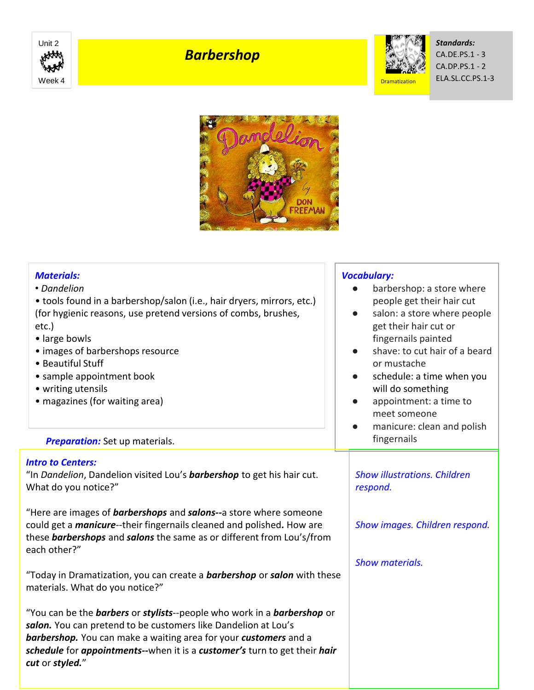

## *Barbershop*



*Standards:* CA.DE.PS.1 - 3 CA.DP.PS.1 - 2 ELA.SL.CC.PS.1-3



| <b>Materials:</b><br>• Dandelion<br>• tools found in a barbershop/salon (i.e., hair dryers, mirrors, etc.)<br>(for hygienic reasons, use pretend versions of combs, brushes,<br>$etc.$ )<br>· large bowls<br>• images of barbershops resource<br>• Beautiful Stuff<br>• sample appointment book<br>• writing utensils<br>• magazines (for waiting area)<br><b>Preparation:</b> Set up materials. | <b>Vocabulary:</b><br>barbershop: a store where<br>people get their hair cut<br>salon: a store where people<br>$\bullet$<br>get their hair cut or<br>fingernails painted<br>shave: to cut hair of a beard<br>or mustache<br>schedule: a time when you<br>$\bullet$<br>will do something<br>appointment: a time to<br>$\bullet$<br>meet someone<br>manicure: clean and polish<br>fingernails |
|--------------------------------------------------------------------------------------------------------------------------------------------------------------------------------------------------------------------------------------------------------------------------------------------------------------------------------------------------------------------------------------------------|---------------------------------------------------------------------------------------------------------------------------------------------------------------------------------------------------------------------------------------------------------------------------------------------------------------------------------------------------------------------------------------------|
| <b>Intro to Centers:</b><br>"In Dandelion, Dandelion visited Lou's <b>barbershop</b> to get his hair cut.<br>What do you notice?"                                                                                                                                                                                                                                                                | <b>Show illustrations. Children</b><br>respond.                                                                                                                                                                                                                                                                                                                                             |
| "Here are images of <b>barbershops</b> and <b>salons--</b> a store where someone<br>could get a <i>manicure</i> --their fingernails cleaned and polished. How are<br>these <b>barbershops</b> and <b>salons</b> the same as or different from Lou's/from<br>each other?"                                                                                                                         | Show images. Children respond.                                                                                                                                                                                                                                                                                                                                                              |
| "Today in Dramatization, you can create a <b>barbershop</b> or salon with these<br>materials. What do you notice?"                                                                                                                                                                                                                                                                               | <b>Show materials.</b>                                                                                                                                                                                                                                                                                                                                                                      |
| "You can be the <b>barbers</b> or <b>stylists</b> --people who work in a <b>barbershop</b> or<br>salon. You can pretend to be customers like Dandelion at Lou's<br><b>barbershop.</b> You can make a waiting area for your customers and a<br>schedule for appointments--when it is a customer's turn to get their hair<br>cut or styled."                                                       |                                                                                                                                                                                                                                                                                                                                                                                             |